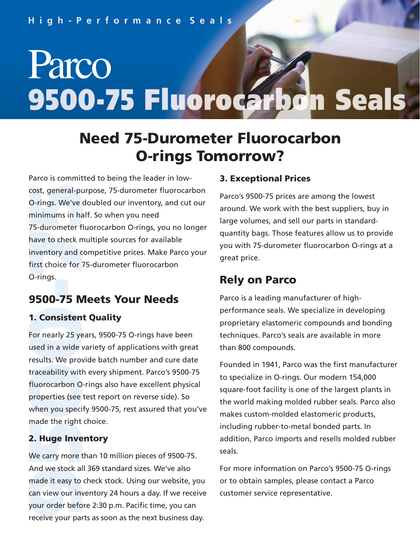# Parco 9500-75 Fluorocarbon Seals

## **Need 75-Durometer Fluorocarbon O-rings Tomorrow?**

cost, general-pu<br>
O-rings. We've<br>
minimums in ha<br>
75-durometer f<br>
have to check n<br>
inventory and c<br>
first choice for<br>
1. **Consisten<br>
500-75** M<br>
1. **Consisten**<br>
For nearly 25 ye<br>
used in a wide<br>
results. We prov<br>
traceabili Parco is committed to being the leader in lowcost, general-purpose, 75-durometer fluorocarbon O-rings. We've doubled our inventory, and cut our minimums in half. So when you need 75-durometer fluorocarbon O-rings, you no longer have to check multiple sources for available inventory and competitive prices. Make Parco your first choice for 75-durometer fluorocarbon O-rings.

### **9500-75 Meets Your Needs**

#### **1. Consistent Quality**

For nearly 25 years, 9500-75 O-rings have been used in a wide variety of applications with great results. We provide batch number and cure date traceability with every shipment. Parco's 9500-75 fluorocarbon O-rings also have excellent physical properties (see test report on reverse side). So when you specify 9500-75, rest assured that you've made the right choice.

#### **2. Huge Inventory**

We carry more than 10 million pieces of 9500-75. And we stock all 369 standard sizes. We've also made it easy to check stock. Using our website, you can view our inventory 24 hours a day. If we receive your order before 2:30 p.m. Pacific time, you can receive your parts as soon as the next business day.

#### **3. Exceptional Prices**

Parco's 9500-75 prices are among the lowest around. We work with the best suppliers, buy in large volumes, and sell our parts in standardquantity bags. Those features allow us to provide you with 75-durometer fluorocarbon O-rings at a great price.

#### **Rely on Parco**

Parco is a leading manufacturer of highperformance seals. We specialize in developing proprietary elastomeric compounds and bonding techniques. Parco's seals are available in more than 800 compounds.

Founded in 1941, Parco was the first manufacturer to specialize in O-rings. Our modern 154,000 square-foot facility is one of the largest plants in the world making molded rubber seals. Parco also makes custom-molded elastomeric products, including rubber-to-metal bonded parts. In addition, Parco imports and resells molded rubber seals.

For more information on Parco's 9500-75 O-rings or to obtain samples, please contact a Parco customer service representative.